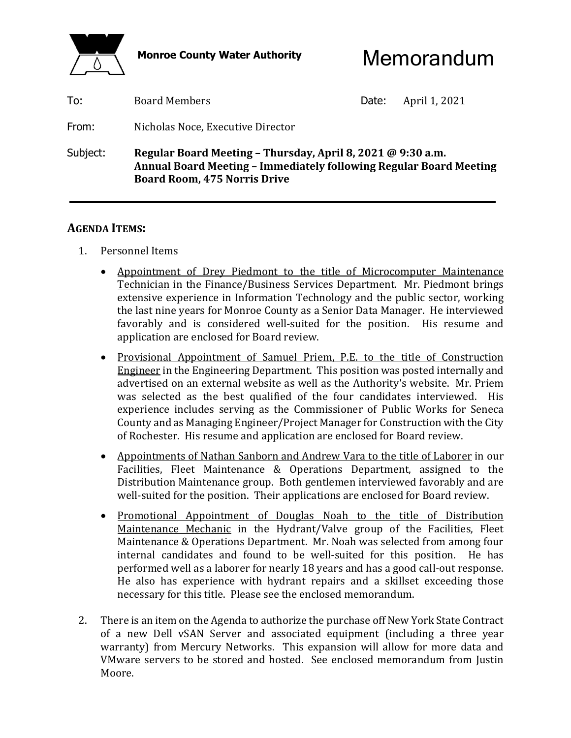

Monroe County Water Authority **Memorandum** 

| Subject: | <b>Board Room, 475 Norris Drive</b> | Regular Board Meeting - Thursday, April 8, 2021 @ 9:30 a.m.<br>Annual Board Meeting - Immediately following Regular Board Meeting |               |  |
|----------|-------------------------------------|-----------------------------------------------------------------------------------------------------------------------------------|---------------|--|
| From:    | Nicholas Noce, Executive Director   |                                                                                                                                   |               |  |
| To:      | <b>Board Members</b>                | Date:                                                                                                                             | April 1, 2021 |  |

### **AGENDA ITEMS:**

- 1. Personnel Items
	- Appointment of Drey Piedmont to the title of Microcomputer Maintenance Technician in the Finance/Business Services Department. Mr. Piedmont brings extensive experience in Information Technology and the public sector, working the last nine years for Monroe County as a Senior Data Manager. He interviewed favorably and is considered well-suited for the position. His resume and application are enclosed for Board review.
	- Provisional Appointment of Samuel Priem, P.E. to the title of Construction Engineer in the Engineering Department. This position was posted internally and advertised on an external website as well as the Authority's website. Mr. Priem was selected as the best qualified of the four candidates interviewed. His experience includes serving as the Commissioner of Public Works for Seneca County and as Managing Engineer/Project Manager for Construction with the City of Rochester. His resume and application are enclosed for Board review.
	- Appointments of Nathan Sanborn and Andrew Vara to the title of Laborer in our Facilities, Fleet Maintenance & Operations Department, assigned to the Distribution Maintenance group. Both gentlemen interviewed favorably and are well-suited for the position. Their applications are enclosed for Board review.
	- Promotional Appointment of Douglas Noah to the title of Distribution Maintenance Mechanic in the Hydrant/Valve group of the Facilities, Fleet Maintenance & Operations Department. Mr. Noah was selected from among four internal candidates and found to be well-suited for this position. He has performed well as a laborer for nearly 18 years and has a good call-out response. He also has experience with hydrant repairs and a skillset exceeding those necessary for this title. Please see the enclosed memorandum.
- 2. There is an item on the Agenda to authorize the purchase off New York State Contract of a new Dell vSAN Server and associated equipment (including a three year warranty) from Mercury Networks. This expansion will allow for more data and VMware servers to be stored and hosted. See enclosed memorandum from Justin Moore.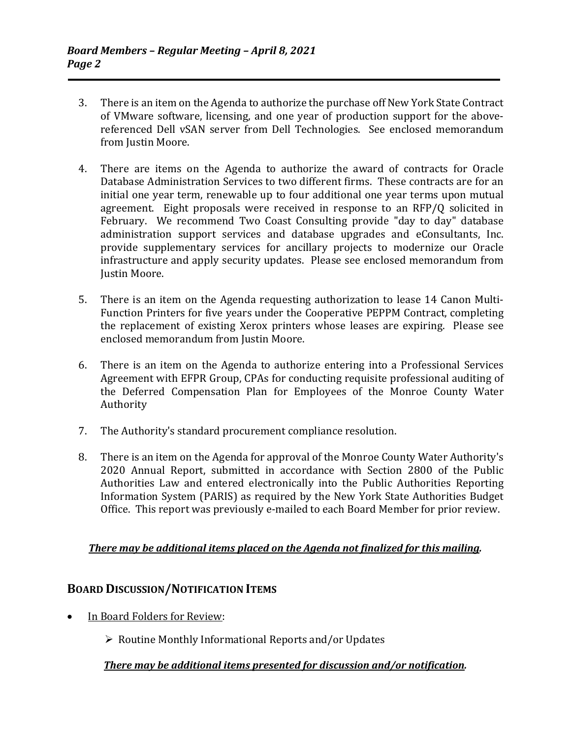- 3. There is an item on the Agenda to authorize the purchase off New York State Contract of VMware software, licensing, and one year of production support for the abovereferenced Dell vSAN server from Dell Technologies. See enclosed memorandum from Justin Moore.
- 4. There are items on the Agenda to authorize the award of contracts for Oracle Database Administration Services to two different firms. These contracts are for an initial one year term, renewable up to four additional one year terms upon mutual agreement. Eight proposals were received in response to an RFP/Q solicited in February. We recommend Two Coast Consulting provide "day to day" database administration support services and database upgrades and eConsultants, Inc. provide supplementary services for ancillary projects to modernize our Oracle infrastructure and apply security updates. Please see enclosed memorandum from Justin Moore.
- 5. There is an item on the Agenda requesting authorization to lease 14 Canon Multi-Function Printers for five years under the Cooperative PEPPM Contract, completing the replacement of existing Xerox printers whose leases are expiring. Please see enclosed memorandum from Justin Moore.
- 6. There is an item on the Agenda to authorize entering into a Professional Services Agreement with EFPR Group, CPAs for conducting requisite professional auditing of the Deferred Compensation Plan for Employees of the Monroe County Water Authority
- 7. The Authority's standard procurement compliance resolution.
- 8. There is an item on the Agenda for approval of the Monroe County Water Authority's 2020 Annual Report, submitted in accordance with Section 2800 of the Public Authorities Law and entered electronically into the Public Authorities Reporting Information System (PARIS) as required by the New York State Authorities Budget Office. This report was previously e-mailed to each Board Member for prior review.

### *There may be additional items placed on the Agenda not finalized for this mailing.*

### **BOARD DISCUSSION/NOTIFICATION ITEMS**

- In Board Folders for Review:
	- $\triangleright$  Routine Monthly Informational Reports and/or Updates

### *There may be additional items presented for discussion and/or notification.*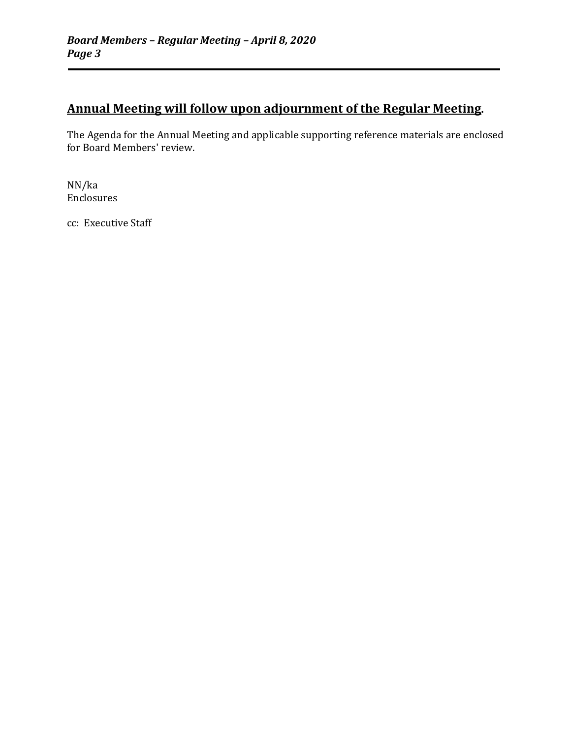### **Annual Meeting will follow upon adjournment of the Regular Meeting.**

The Agenda for the Annual Meeting and applicable supporting reference materials are enclosed for Board Members' review.

NN/ka Enclosures

cc: Executive Staff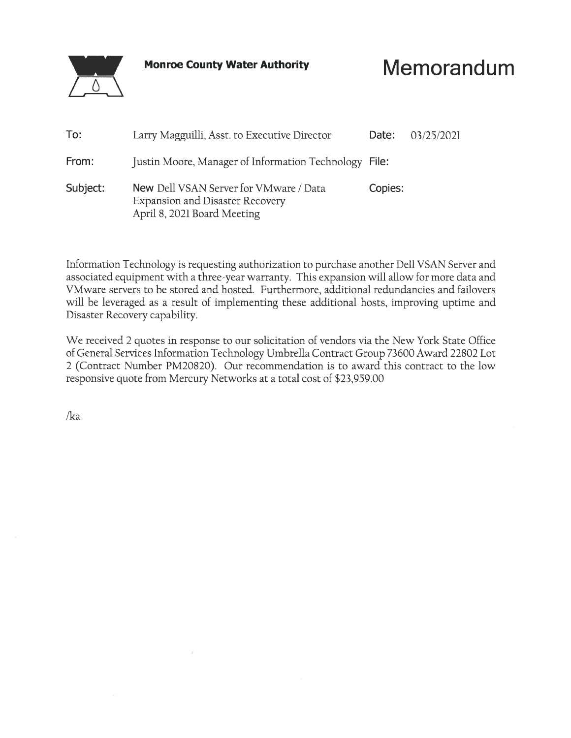**Monroe County Water Authority** 

# Memorandum

| To:      | Larry Magguilli, Asst. to Executive Director                                                                           | Date:   | 03/25/2021 |
|----------|------------------------------------------------------------------------------------------------------------------------|---------|------------|
| From:    | Justin Moore, Manager of Information Technology File:                                                                  |         |            |
| Subject: | <b>New Dell VSAN Server for VMware / Data</b><br><b>Expansion and Disaster Recovery</b><br>April 8, 2021 Board Meeting | Copies: |            |

Information Technology is requesting authorization to purchase another Dell VSAN Server and associated equipment with a three-year warranty. This expansion will allow for more data and VMware servers to be stored and hosted. Furthermore, additional redundancies and failovers will be leveraged as a result of implementing these additional hosts, improving uptime and Disaster Recovery capability.

We received 2 quotes in response to our solicitation of vendors via the New York State Office of General Services Information Technology Umbrella Contract Group 73600 Award 22802 Lot 2 (Contract Number PM20820). Our recommendation is to award this contract to the low responsive quote from Mercury Networks at a total cost of \$23,959.00

 $\sqrt{ka}$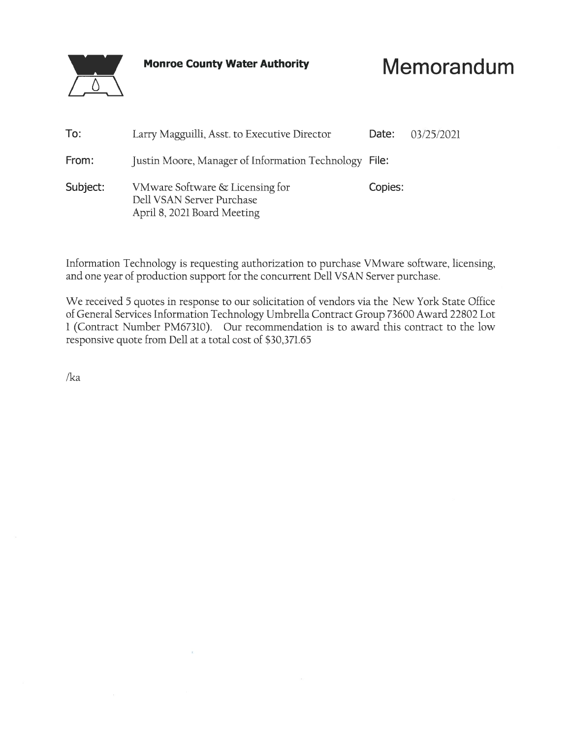

**Monroe County Water Authority** 

# Memorandum

| To:      | Larry Magguilli, Asst. to Executive Director                                                | Date:   | 03/25/2021 |
|----------|---------------------------------------------------------------------------------------------|---------|------------|
| From:    | Justin Moore, Manager of Information Technology File:                                       |         |            |
| Subject: | VMware Software & Licensing for<br>Dell VSAN Server Purchase<br>April 8, 2021 Board Meeting | Copies: |            |

Information Technology is requesting authorization to purchase VMware software, licensing, and one year of production support for the concurrent Dell VSAN Server purchase.

We received 5 quotes in response to our solicitation of vendors via the New York State Office of General Services Information Technology Umbrella Contract Group 73600 Award 22802 Lot 1 (Contract Number PM67310). Our recommendation is to award this contract to the low responsive quote from Dell at a total cost of \$30,371.65

 $/ka$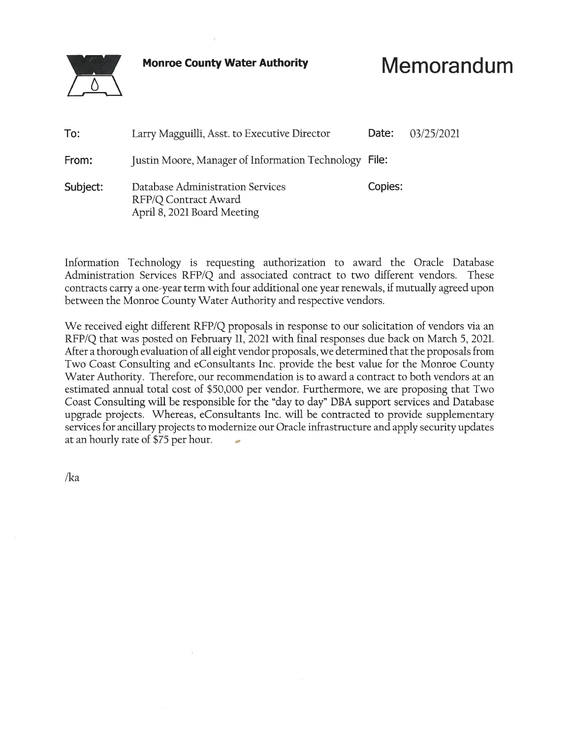**Monroe County Water Authority** 

# Memorandum

| To:      | Larry Magguilli, Asst. to Executive Director                                            | Date:   | 03/25/2021 |
|----------|-----------------------------------------------------------------------------------------|---------|------------|
| From:    | Justin Moore, Manager of Information Technology File:                                   |         |            |
| Subject: | Database Administration Services<br>RFP/Q Contract Award<br>April 8, 2021 Board Meeting | Copies: |            |

Information Technology is requesting authorization to award the Oracle Database Administration Services RFP/Q and associated contract to two different vendors. These contracts carry a one-year term with four additional one year renewals, if mutually agreed upon between the Monroe County Water Authority and respective vendors.

We received eight different RFP/Q proposals in response to our solicitation of vendors via an RFP/Q that was posted on February 11, 2021 with final responses due back on March 5, 2021. After a thorough evaluation of all eight vendor proposals, we determined that the proposals from Two Coast Consulting and eConsultants Inc. provide the best value for the Monroe County Water Authority. Therefore, our recommendation is to award a contract to both vendors at an estimated annual total cost of \$50,000 per vendor. Furthermore, we are proposing that Two Coast Consulting will be responsible for the "day to day" DBA support services and Database upgrade projects. Whereas, eConsultants Inc. will be contracted to provide supplementary services for ancillary projects to modernize our Oracle infrastructure and apply security updates at an hourly rate of \$75 per hour.

 $\sqrt{ka}$